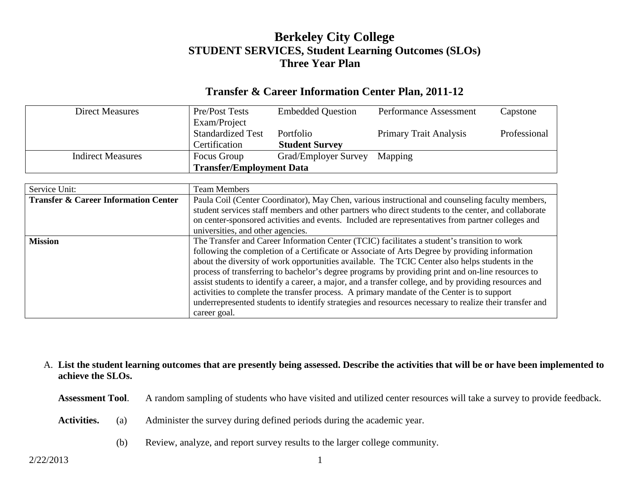# **Berkeley City College STUDENT SERVICES, Student Learning Outcomes (SLOs) Three Year Plan**

### **Transfer & Career Information Center Plan, 2011-12**

| <b>Direct Measures</b>   | Pre/Post Tests                  | <b>Embedded Question</b> | <b>Performance Assessment</b> | Capstone     |
|--------------------------|---------------------------------|--------------------------|-------------------------------|--------------|
|                          | Exam/Project                    |                          |                               |              |
|                          | <b>Standardized Test</b>        | Portfolio                | <b>Primary Trait Analysis</b> | Professional |
|                          | Certification                   | <b>Student Survey</b>    |                               |              |
| <b>Indirect Measures</b> | Focus Group                     | Grad/Employer Survey     | Mapping                       |              |
|                          | <b>Transfer/Employment Data</b> |                          |                               |              |

| Service Unit:                                   | <b>Team Members</b>                                                                                    |  |  |  |
|-------------------------------------------------|--------------------------------------------------------------------------------------------------------|--|--|--|
| <b>Transfer &amp; Career Information Center</b> | Paula Coil (Center Coordinator), May Chen, various instructional and counseling faculty members,       |  |  |  |
|                                                 | student services staff members and other partners who direct students to the center, and collaborate   |  |  |  |
|                                                 | on center-sponsored activities and events. Included are representatives from partner colleges and      |  |  |  |
|                                                 | universities, and other agencies.                                                                      |  |  |  |
| <b>Mission</b>                                  | The Transfer and Career Information Center (TCIC) facilitates a student's transition to work           |  |  |  |
|                                                 | following the completion of a Certificate or Associate of Arts Degree by providing information         |  |  |  |
|                                                 | about the diversity of work opportunities available. The TCIC Center also helps students in the        |  |  |  |
|                                                 | process of transferring to bachelor's degree programs by providing print and on-line resources to      |  |  |  |
|                                                 | assist students to identify a career, a major, and a transfer college, and by providing resources and  |  |  |  |
|                                                 | activities to complete the transfer process. A primary mandate of the Center is to support             |  |  |  |
|                                                 | underrepresented students to identify strategies and resources necessary to realize their transfer and |  |  |  |
|                                                 | career goal.                                                                                           |  |  |  |

#### A. **List the student learning outcomes that are presently being assessed. Describe the activities that will be or have been implemented to achieve the SLOs.**

**Assessment Tool**. A random sampling of students who have visited and utilized center resources will take a survey to provide feedback.

- **Activities.** (a) Administer the survey during defined periods during the academic year.
	- (b) Review, analyze, and report survey results to the larger college community.

2/22/2013 1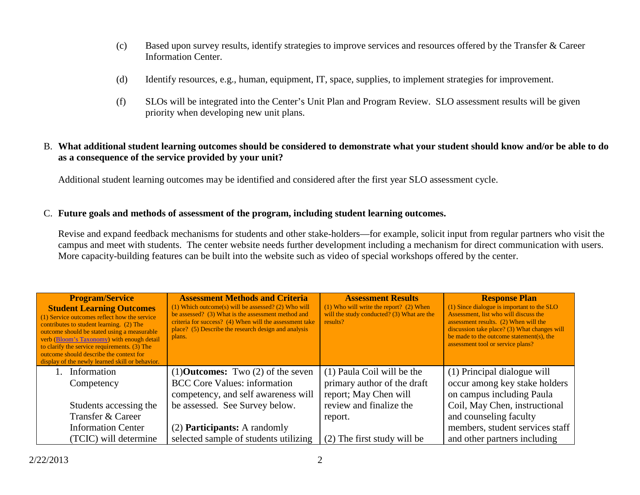- (c) Based upon survey results, identify strategies to improve services and resources offered by the Transfer & Career Information Center.
- (d) Identify resources, e.g., human, equipment, IT, space, supplies, to implement strategies for improvement.
- (f) SLOs will be integrated into the Center's Unit Plan and Program Review. SLO assessment results will be given priority when developing new unit plans.

### B. **What additional student learning outcomes should be considered to demonstrate what your student should know and/or be able to do as a consequence of the service provided by your unit?**

Additional student learning outcomes may be identified and considered after the first year SLO assessment cycle.

#### C. **Future goals and methods of assessment of the program, including student learning outcomes.**

Revise and expand feedback mechanisms for students and other stake-holders—for example, solicit input from regular partners who visit the campus and meet with students. The center website needs further development including a mechanism for direct communication with users. More capacity-building features can be built into the website such as video of special workshops offered by the center.

| <b>Program/Service</b><br><b>Student Learning Outcomes</b><br>(1) Service outcomes reflect how the service<br>contributes to student learning. (2) The<br>outcome should be stated using a measurable<br>verb (Bloom's Taxonomy) with enough detail<br>to clarify the service requirements. (3) The<br>outcome should describe the context for<br>display of the newly learned skill or behavior. | <b>Assessment Methods and Criteria</b><br>$(1)$ Which outcome(s) will be assessed? (2) Who will<br>be assessed? (3) What is the assessment method and<br>criteria for success? (4) When will the assessment take<br>place? (5) Describe the research design and analysis<br>plans. | <b>Assessment Results</b><br>$(1)$ Who will write the report? $(2)$ When<br>will the study conducted? (3) What are the<br>results? | <b>Response Plan</b><br>(1) Since dialogue is important to the SLO<br>Assessment, list who will discuss the<br>assessment results. (2) When will the<br>discussion take place? (3) What changes will<br>be made to the outcome statement(s), the<br>assessment tool or service plans? |
|---------------------------------------------------------------------------------------------------------------------------------------------------------------------------------------------------------------------------------------------------------------------------------------------------------------------------------------------------------------------------------------------------|------------------------------------------------------------------------------------------------------------------------------------------------------------------------------------------------------------------------------------------------------------------------------------|------------------------------------------------------------------------------------------------------------------------------------|---------------------------------------------------------------------------------------------------------------------------------------------------------------------------------------------------------------------------------------------------------------------------------------|
| Information                                                                                                                                                                                                                                                                                                                                                                                       | $(1)$ <b>Outcomes:</b> Two $(2)$ of the seven                                                                                                                                                                                                                                      | (1) Paula Coil will be the                                                                                                         | (1) Principal dialogue will                                                                                                                                                                                                                                                           |
| Competency                                                                                                                                                                                                                                                                                                                                                                                        | <b>BCC</b> Core Values: information                                                                                                                                                                                                                                                | primary author of the draft                                                                                                        | occur among key stake holders                                                                                                                                                                                                                                                         |
|                                                                                                                                                                                                                                                                                                                                                                                                   | competency, and self awareness will                                                                                                                                                                                                                                                | report; May Chen will                                                                                                              | on campus including Paula                                                                                                                                                                                                                                                             |
| Students accessing the                                                                                                                                                                                                                                                                                                                                                                            | be assessed. See Survey below.                                                                                                                                                                                                                                                     | review and finalize the                                                                                                            | Coil, May Chen, instructional                                                                                                                                                                                                                                                         |
| Transfer & Career                                                                                                                                                                                                                                                                                                                                                                                 |                                                                                                                                                                                                                                                                                    | report.                                                                                                                            | and counseling faculty                                                                                                                                                                                                                                                                |
| <b>Information Center</b>                                                                                                                                                                                                                                                                                                                                                                         | (2) <b>Participants:</b> A randomly                                                                                                                                                                                                                                                |                                                                                                                                    | members, student services staff                                                                                                                                                                                                                                                       |
| (TCIC) will determine                                                                                                                                                                                                                                                                                                                                                                             | selected sample of students utilizing                                                                                                                                                                                                                                              | (2) The first study will be                                                                                                        | and other partners including                                                                                                                                                                                                                                                          |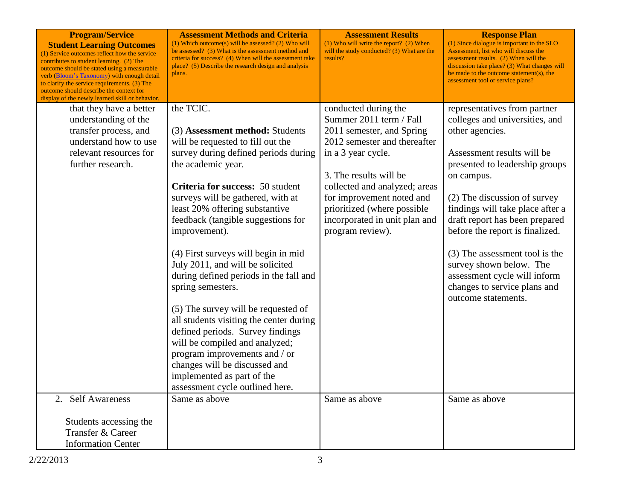| <b>Program/Service</b><br><b>Student Learning Outcomes</b><br>(1) Service outcomes reflect how the service<br>contributes to student learning. (2) The<br>outcome should be stated using a measurable<br>verb (Bloom's Taxonomy) with enough detail<br>to clarify the service requirements. (3) The<br>outcome should describe the context for<br>display of the newly learned skill or behavior. | <b>Assessment Methods and Criteria</b><br>$(1)$ Which outcome(s) will be assessed? (2) Who will<br>be assessed? (3) What is the assessment method and<br>criteria for success? (4) When will the assessment take<br>place? (5) Describe the research design and analysis<br>plans.                                                                                                                                                                                                                                                                                                                                                                                                                                  | <b>Assessment Results</b><br>$(1)$ Who will write the report? $(2)$ When<br>will the study conducted? (3) What are the<br>results?                                                                                                                                                                             | <b>Response Plan</b><br>(1) Since dialogue is important to the SLO<br>Assessment, list who will discuss the<br>assessment results. (2) When will the<br>discussion take place? (3) What changes will<br>be made to the outcome statement(s), the<br>assessment tool or service plans?                                                                                                                                                                        |
|---------------------------------------------------------------------------------------------------------------------------------------------------------------------------------------------------------------------------------------------------------------------------------------------------------------------------------------------------------------------------------------------------|---------------------------------------------------------------------------------------------------------------------------------------------------------------------------------------------------------------------------------------------------------------------------------------------------------------------------------------------------------------------------------------------------------------------------------------------------------------------------------------------------------------------------------------------------------------------------------------------------------------------------------------------------------------------------------------------------------------------|----------------------------------------------------------------------------------------------------------------------------------------------------------------------------------------------------------------------------------------------------------------------------------------------------------------|--------------------------------------------------------------------------------------------------------------------------------------------------------------------------------------------------------------------------------------------------------------------------------------------------------------------------------------------------------------------------------------------------------------------------------------------------------------|
| that they have a better<br>understanding of the<br>transfer process, and<br>understand how to use<br>relevant resources for<br>further research.                                                                                                                                                                                                                                                  | the TCIC.<br>(3) Assessment method: Students<br>will be requested to fill out the<br>survey during defined periods during<br>the academic year.<br>Criteria for success: 50 student<br>surveys will be gathered, with at<br>least 20% offering substantive<br>feedback (tangible suggestions for<br>improvement).<br>(4) First surveys will begin in mid<br>July 2011, and will be solicited<br>during defined periods in the fall and<br>spring semesters.<br>(5) The survey will be requested of<br>all students visiting the center during<br>defined periods. Survey findings<br>will be compiled and analyzed;<br>program improvements and / or<br>changes will be discussed and<br>implemented as part of the | conducted during the<br>Summer 2011 term / Fall<br>2011 semester, and Spring<br>2012 semester and thereafter<br>in a 3 year cycle.<br>3. The results will be<br>collected and analyzed; areas<br>for improvement noted and<br>prioritized (where possible<br>incorporated in unit plan and<br>program review). | representatives from partner<br>colleges and universities, and<br>other agencies.<br>Assessment results will be<br>presented to leadership groups<br>on campus.<br>(2) The discussion of survey<br>findings will take place after a<br>draft report has been prepared<br>before the report is finalized.<br>(3) The assessment tool is the<br>survey shown below. The<br>assessment cycle will inform<br>changes to service plans and<br>outcome statements. |
| 2. Self Awareness                                                                                                                                                                                                                                                                                                                                                                                 | assessment cycle outlined here.<br>Same as above                                                                                                                                                                                                                                                                                                                                                                                                                                                                                                                                                                                                                                                                    | Same as above                                                                                                                                                                                                                                                                                                  | Same as above                                                                                                                                                                                                                                                                                                                                                                                                                                                |
| Students accessing the<br>Transfer & Career<br><b>Information Center</b>                                                                                                                                                                                                                                                                                                                          |                                                                                                                                                                                                                                                                                                                                                                                                                                                                                                                                                                                                                                                                                                                     |                                                                                                                                                                                                                                                                                                                |                                                                                                                                                                                                                                                                                                                                                                                                                                                              |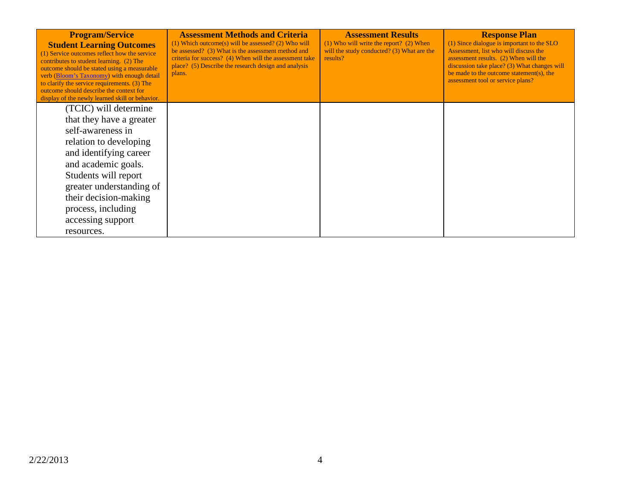| <b>Program/Service</b><br><b>Student Learning Outcomes</b><br>(1) Service outcomes reflect how the service<br>contributes to student learning. (2) The<br>outcome should be stated using a measurable<br>verb (Bloom's Taxonomy) with enough detail<br>to clarify the service requirements. (3) The<br>outcome should describe the context for<br>display of the newly learned skill or behavior. | <b>Assessment Methods and Criteria</b><br>$(1)$ Which outcome(s) will be assessed? (2) Who will<br>be assessed? (3) What is the assessment method and<br>criteria for success? (4) When will the assessment take<br>place? (5) Describe the research design and analysis<br>plans. | <b>Assessment Results</b><br>$(1)$ Who will write the report? $(2)$ When<br>will the study conducted? (3) What are the<br>results? | <b>Response Plan</b><br>(1) Since dialogue is important to the SLO<br>Assessment, list who will discuss the<br>assessment results. (2) When will the<br>discussion take place? (3) What changes will<br>be made to the outcome statement(s), the<br>assessment tool or service plans? |
|---------------------------------------------------------------------------------------------------------------------------------------------------------------------------------------------------------------------------------------------------------------------------------------------------------------------------------------------------------------------------------------------------|------------------------------------------------------------------------------------------------------------------------------------------------------------------------------------------------------------------------------------------------------------------------------------|------------------------------------------------------------------------------------------------------------------------------------|---------------------------------------------------------------------------------------------------------------------------------------------------------------------------------------------------------------------------------------------------------------------------------------|
| (TCIC) will determine                                                                                                                                                                                                                                                                                                                                                                             |                                                                                                                                                                                                                                                                                    |                                                                                                                                    |                                                                                                                                                                                                                                                                                       |
| that they have a greater                                                                                                                                                                                                                                                                                                                                                                          |                                                                                                                                                                                                                                                                                    |                                                                                                                                    |                                                                                                                                                                                                                                                                                       |
| self-awareness in                                                                                                                                                                                                                                                                                                                                                                                 |                                                                                                                                                                                                                                                                                    |                                                                                                                                    |                                                                                                                                                                                                                                                                                       |
| relation to developing                                                                                                                                                                                                                                                                                                                                                                            |                                                                                                                                                                                                                                                                                    |                                                                                                                                    |                                                                                                                                                                                                                                                                                       |
| and identifying career                                                                                                                                                                                                                                                                                                                                                                            |                                                                                                                                                                                                                                                                                    |                                                                                                                                    |                                                                                                                                                                                                                                                                                       |
| and academic goals.                                                                                                                                                                                                                                                                                                                                                                               |                                                                                                                                                                                                                                                                                    |                                                                                                                                    |                                                                                                                                                                                                                                                                                       |
| Students will report                                                                                                                                                                                                                                                                                                                                                                              |                                                                                                                                                                                                                                                                                    |                                                                                                                                    |                                                                                                                                                                                                                                                                                       |
| greater understanding of                                                                                                                                                                                                                                                                                                                                                                          |                                                                                                                                                                                                                                                                                    |                                                                                                                                    |                                                                                                                                                                                                                                                                                       |
| their decision-making                                                                                                                                                                                                                                                                                                                                                                             |                                                                                                                                                                                                                                                                                    |                                                                                                                                    |                                                                                                                                                                                                                                                                                       |
| process, including                                                                                                                                                                                                                                                                                                                                                                                |                                                                                                                                                                                                                                                                                    |                                                                                                                                    |                                                                                                                                                                                                                                                                                       |
| accessing support                                                                                                                                                                                                                                                                                                                                                                                 |                                                                                                                                                                                                                                                                                    |                                                                                                                                    |                                                                                                                                                                                                                                                                                       |
| resources.                                                                                                                                                                                                                                                                                                                                                                                        |                                                                                                                                                                                                                                                                                    |                                                                                                                                    |                                                                                                                                                                                                                                                                                       |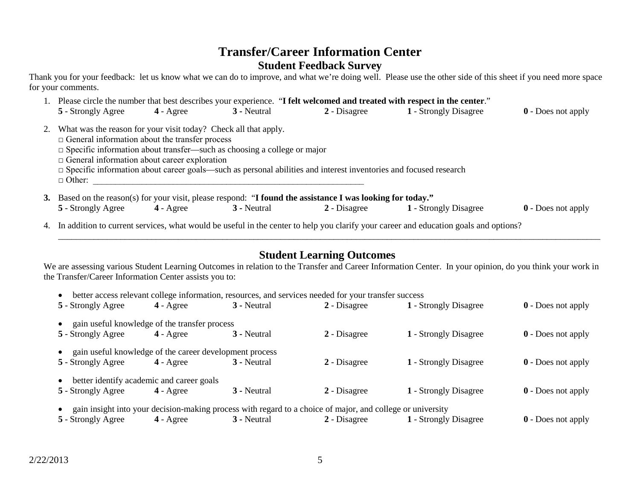## **Transfer/Career Information Center Student Feedback Survey**

Thank you for your feedback: let us know what we can do to improve, and what we're doing well. Please use the other side of this sheet if you need more space for your comments.

|           | 1. Please circle the number that best describes your experience. "I felt welcomed and treated with respect in the center."                                                                                                                                                         |                    |             |                                                                                                                         |                       |                           |
|-----------|------------------------------------------------------------------------------------------------------------------------------------------------------------------------------------------------------------------------------------------------------------------------------------|--------------------|-------------|-------------------------------------------------------------------------------------------------------------------------|-----------------------|---------------------------|
|           | 5 - Strongly Agree                                                                                                                                                                                                                                                                 | $4 - \text{Agree}$ | 3 - Neutral | 2 - Disagree                                                                                                            | 1 - Strongly Disagree | $\theta$ - Does not apply |
| 2.        | What was the reason for your visit today? Check all that apply.<br>$\Box$ General information about the transfer process<br>$\Box$ Specific information about transfer—such as choosing a college or major<br>$\Box$ General information about career exploration<br>$\Box$ Other: |                    |             | $\Box$ Specific information about career goals—such as personal abilities and interest inventories and focused research |                       |                           |
| <b>3.</b> |                                                                                                                                                                                                                                                                                    |                    |             | Based on the reason(s) for your visit, please respond: "I found the assistance I was looking for today."                |                       |                           |
|           | 5 - Strongly Agree                                                                                                                                                                                                                                                                 | $4 - \text{Agree}$ | 3 - Neutral | 2 - Disagree                                                                                                            | 1 - Strongly Disagree | $\theta$ - Does not apply |

4. In addition to current services, what would be useful in the center to help you clarify your career and education goals and options?

## **Student Learning Outcomes**

\_\_\_\_\_\_\_\_\_\_\_\_\_\_\_\_\_\_\_\_\_\_\_\_\_\_\_\_\_\_\_\_\_\_\_\_\_\_\_\_\_\_\_\_\_\_\_\_\_\_\_\_\_\_\_\_\_\_\_\_\_\_\_\_\_\_\_\_\_\_\_\_\_\_\_\_\_\_\_\_\_\_\_\_\_\_\_\_\_\_\_\_\_\_\_\_\_\_\_\_\_\_\_\_\_\_\_\_\_\_\_\_\_\_\_\_\_\_\_\_\_\_

We are assessing various Student Learning Outcomes in relation to the Transfer and Career Information Center. In your opinion, do you think your work in the Transfer/Career Information Center assists you to:

|  | • better access relevant college information, resources, and services needed for your transfer success |  |  |  |
|--|--------------------------------------------------------------------------------------------------------|--|--|--|
|--|--------------------------------------------------------------------------------------------------------|--|--|--|

| 5 - Strongly Agree                                      | $4 - \text{Agree}$ | 3 - Neutral                                                                                                | $2 - Disagree$ | 1 - Strongly Disagree | <b>0</b> - Does not apply |
|---------------------------------------------------------|--------------------|------------------------------------------------------------------------------------------------------------|----------------|-----------------------|---------------------------|
| gain useful knowledge of the transfer process           |                    |                                                                                                            |                |                       |                           |
| 5 - Strongly Agree                                      | $4 - \text{Agree}$ | 3 - Neutral                                                                                                | 2 - Disagree   | 1 - Strongly Disagree | $\theta$ - Does not apply |
| gain useful knowledge of the career development process |                    |                                                                                                            |                |                       |                           |
| 5 - Strongly Agree                                      | $4 - \text{Agree}$ | 3 - Neutral                                                                                                | $2$ - Disagree | 1 - Strongly Disagree | <b>0</b> - Does not apply |
| better identify academic and career goals               |                    |                                                                                                            |                |                       |                           |
| 5 - Strongly Agree                                      | $4 - \text{Agree}$ | 3 - Neutral                                                                                                | 2 - Disagree   | 1 - Strongly Disagree | $\theta$ - Does not apply |
|                                                         |                    | gain insight into your decision-making process with regard to a choice of major, and college or university |                |                       |                           |
| 5 - Strongly Agree                                      | $4 - \text{Agree}$ | 3 - Neutral                                                                                                | 2 - Disagree   | 1 - Strongly Disagree | <b>0</b> - Does not apply |